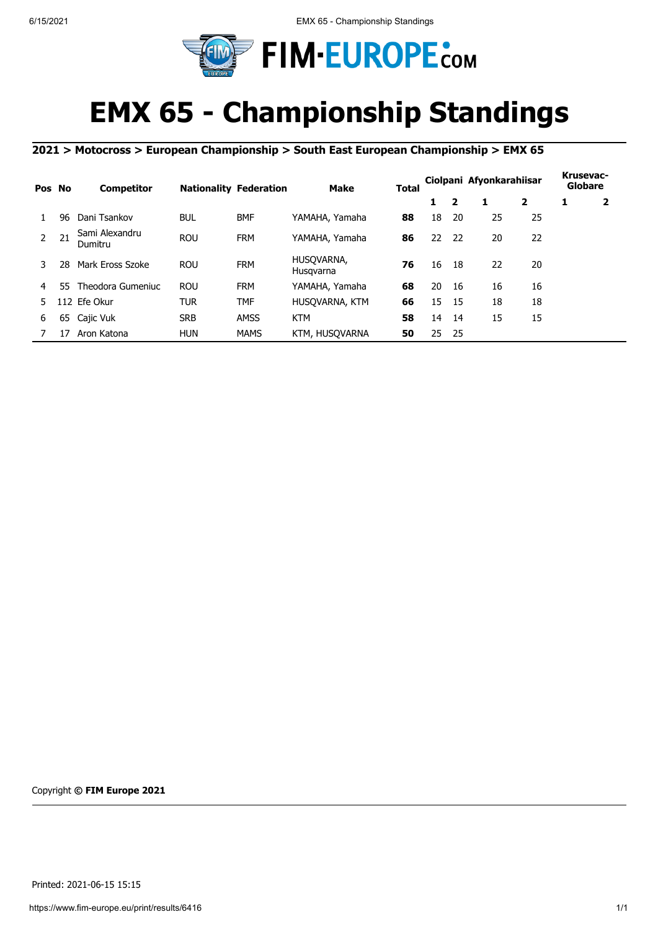

## **EMX 65 - Championship Standings**

## **2021 > Motocross > European Championship > South East European Championship > EMX 65**

| Pos No |     | <b>Competitor</b>         |            | <b>Nationality Federation</b> | <b>Make</b>             | Total |    |     | Ciolpani Afyonkarahiisar |                | Krusevac-<br>Globare |                         |
|--------|-----|---------------------------|------------|-------------------------------|-------------------------|-------|----|-----|--------------------------|----------------|----------------------|-------------------------|
|        |     |                           |            |                               |                         |       | 1  | 2   | 1                        | $\overline{2}$ | 1                    | $\overline{\mathbf{2}}$ |
|        | 96  | Dani Tsankov              | <b>BUL</b> | <b>BMF</b>                    | YAMAHA, Yamaha          | 88    | 18 | 20  | 25                       | 25             |                      |                         |
|        | 21  | Sami Alexandru<br>Dumitru | <b>ROU</b> | <b>FRM</b>                    | YAMAHA, Yamaha          | 86    | 22 | -22 | 20                       | 22             |                      |                         |
| 3.     | 28  | Mark Eross Szoke          | <b>ROU</b> | <b>FRM</b>                    | HUSOVARNA,<br>Husgvarna | 76    | 16 | -18 | 22                       | 20             |                      |                         |
| 4      | 55. | Theodora Gumeniuc         | <b>ROU</b> | <b>FRM</b>                    | YAMAHA, Yamaha          | 68    | 20 | 16  | 16                       | 16             |                      |                         |
| 5.     |     | 112 Efe Okur              | TUR        | TMF                           | HUSOVARNA, KTM          | 66    | 15 | -15 | 18                       | 18             |                      |                         |
| 6      | 65  | Cajic Vuk                 | <b>SRB</b> | <b>AMSS</b>                   | <b>KTM</b>              | 58    | 14 | 14  | 15                       | 15             |                      |                         |
|        | 17  | Aron Katona               | <b>HUN</b> | <b>MAMS</b>                   | KTM, HUSOVARNA          | 50    | 25 | 25  |                          |                |                      |                         |

Copyright **© FIM Europe 2021**